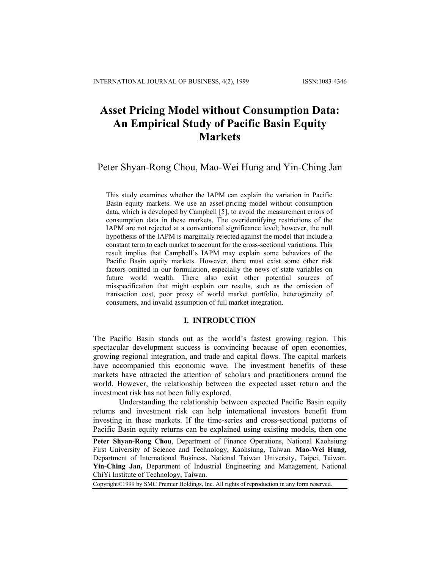# **Asset Pricing Model without Consumption Data: An Empirical Study of Pacific Basin Equity Markets**

Peter Shyan-Rong Chou, Mao-Wei Hung and Yin-Ching Jan

This study examines whether the IAPM can explain the variation in Pacific Basin equity markets. We use an asset-pricing model without consumption data, which is developed by Campbell [5], to avoid the measurement errors of consumption data in these markets. The overidentifying restrictions of the IAPM are not rejected at a conventional significance level; however, the null hypothesis of the IAPM is marginally rejected against the model that include a constant term to each market to account for the cross-sectional variations. This result implies that Campbell's IAPM may explain some behaviors of the Pacific Basin equity markets. However, there must exist some other risk factors omitted in our formulation, especially the news of state variables on future world wealth. There also exist other potential sources of misspecification that might explain our results, such as the omission of transaction cost, poor proxy of world market portfolio, heterogeneity of consumers, and invalid assumption of full market integration.

### **I. INTRODUCTION**

The Pacific Basin stands out as the world's fastest growing region. This spectacular development success is convincing because of open economies, growing regional integration, and trade and capital flows. The capital markets have accompanied this economic wave. The investment benefits of these markets have attracted the attention of scholars and practitioners around the world. However, the relationship between the expected asset return and the investment risk has not been fully explored.

Understanding the relationship between expected Pacific Basin equity returns and investment risk can help international investors benefit from investing in these markets. If the time-series and cross-sectional patterns of Pacific Basin equity returns can be explained using existing models, then one

**Peter Shyan-Rong Chou**, Department of Finance Operations, National Kaohsiung First University of Science and Technology, Kaohsiung, Taiwan. **Mao-Wei Hung**, Department of International Business, National Taiwan University, Taipei, Taiwan. **Yin-Ching Jan,** Department of Industrial Engineering and Management, National ChiYi Institute of Technology, Taiwan.

Copyright©1999 by SMC Premier Holdings, Inc. All rights of reproduction in any form reserved.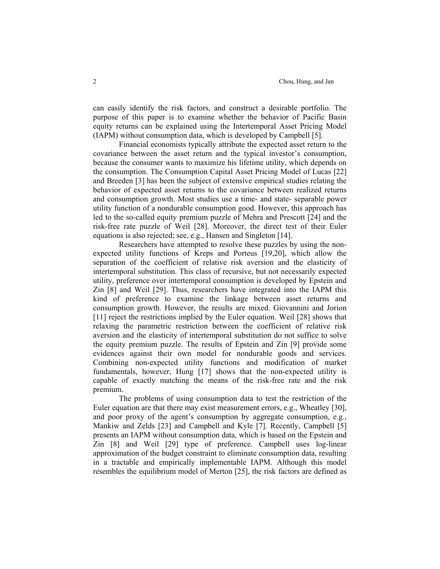can easily identify the risk factors, and construct a desirable portfolio. The purpose of this paper is to examine whether the behavior of Pacific Basin equity returns can be explained using the Intertemporal Asset Pricing Model (IAPM) without consumption data, which is developed by Campbell [5].

Financial economists typically attribute the expected asset return to the covariance between the asset return and the typical investor's consumption, because the consumer wants to maximize his lifetime utility, which depends on the consumption. The Consumption Capital Asset Pricing Model of Lucas [22] and Breeden [3] has been the subject of extensive empirical studies relating the behavior of expected asset returns to the covariance between realized returns and consumption growth. Most studies use a time- and state- separable power utility function of a nondurable consumption good. However, this approach has led to the so-called equity premium puzzle of Mehra and Prescott [24] and the risk-free rate puzzle of Weil [28]. Moreover, the direct test of their Euler equations is also rejected; see, e.g., Hansen and Singleton [14].

Researchers have attempted to resolve these puzzles by using the nonexpected utility functions of Kreps and Porteus [19,20], which allow the separation of the coefficient of relative risk aversion and the elasticity of intertemporal substitution. This class of recursive, but not necessarily expected utility, preference over intertemporal consumption is developed by Epstein and Zin [8] and Weil [29]. Thus, researchers have integrated into the IAPM this kind of preference to examine the linkage between asset returns and consumption growth. However, the results are mixed. Giovannini and Jorion [11] reject the restrictions implied by the Euler equation. Weil [28] shows that relaxing the parametric restriction between the coefficient of relative risk aversion and the elasticity of intertemporal substitution do not suffice to solve the equity premium puzzle. The results of Epstein and Zin [9] provide some evidences against their own model for nondurable goods and services. Combining non-expected utility functions and modification of market fundamentals, however, Hung [17] shows that the non-expected utility is capable of exactly matching the means of the risk-free rate and the risk premium.

The problems of using consumption data to test the restriction of the Euler equation are that there may exist measurement errors, e.g., Wheatley [30], and poor proxy of the agent's consumption by aggregate consumption, e.g., Mankiw and Zelds [23] and Campbell and Kyle [7]. Recently, Campbell [5] presents an IAPM without consumption data, which is based on the Epstein and Zin [8] and Weil [29] type of preference. Campbell uses log-linear approximation of the budget constraint to eliminate consumption data, resulting in a tractable and empirically implementable IAPM. Although this model resembles the equilibrium model of Merton [25], the risk factors are defined as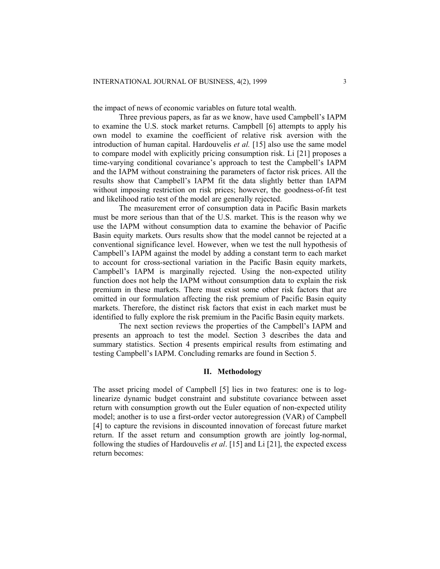the impact of news of economic variables on future total wealth.

Three previous papers, as far as we know, have used Campbell's IAPM to examine the U.S. stock market returns. Campbell [6] attempts to apply his own model to examine the coefficient of relative risk aversion with the introduction of human capital. Hardouvelis *et al.* [15] also use the same model to compare model with explicitly pricing consumption risk. Li [21] proposes a time-varying conditional covariance's approach to test the Campbell's IAPM and the IAPM without constraining the parameters of factor risk prices. All the results show that Campbell's IAPM fit the data slightly better than IAPM without imposing restriction on risk prices; however, the goodness-of-fit test and likelihood ratio test of the model are generally rejected.

The measurement error of consumption data in Pacific Basin markets must be more serious than that of the U.S. market. This is the reason why we use the IAPM without consumption data to examine the behavior of Pacific Basin equity markets. Ours results show that the model cannot be rejected at a conventional significance level. However, when we test the null hypothesis of Campbell's IAPM against the model by adding a constant term to each market to account for cross-sectional variation in the Pacific Basin equity markets, Campbell's IAPM is marginally rejected. Using the non-expected utility function does not help the IAPM without consumption data to explain the risk premium in these markets. There must exist some other risk factors that are omitted in our formulation affecting the risk premium of Pacific Basin equity markets. Therefore, the distinct risk factors that exist in each market must be identified to fully explore the risk premium in the Pacific Basin equity markets.

The next section reviews the properties of the Campbell's IAPM and presents an approach to test the model. Section 3 describes the data and summary statistics. Section 4 presents empirical results from estimating and testing Campbell's IAPM. Concluding remarks are found in Section 5.

#### **II. Methodology**

The asset pricing model of Campbell [5] lies in two features: one is to loglinearize dynamic budget constraint and substitute covariance between asset return with consumption growth out the Euler equation of non-expected utility model; another is to use a first-order vector autoregression (VAR) of Campbell [4] to capture the revisions in discounted innovation of forecast future market return. If the asset return and consumption growth are jointly log-normal, following the studies of Hardouvelis *et al*. [15] and Li [21], the expected excess return becomes: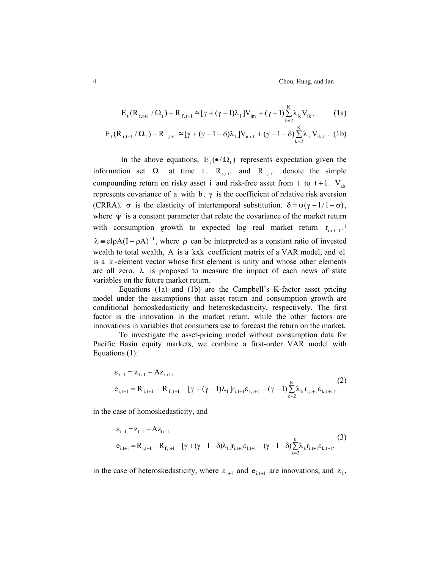4 Chou, Hung, and Jan

$$
E_{t}(R_{i,t+1}/\Omega_{t}) - R_{f,t+1} \approx [\gamma + (\gamma - 1)\lambda_{1}]V_{im} + (\gamma - 1)\sum_{k=2}^{K} \lambda_{k} V_{ik},
$$
 (1a)

$$
E_{t}(R_{i,t+1} / \Omega_{t}) - R_{f,t+1} \approx [\gamma + (\gamma - 1 - \delta)\lambda_{1}]V_{im,t} + (\gamma - 1 - \delta)\sum_{k=2}^{K} \lambda_{k} V_{ik,t}.
$$
 (1b)

In the above equations,  $E_t(\bullet/\Omega_t)$  represents expectation given the information set  $\Omega_t$  at time t.  $R_{i,t+1}$  and  $R_{f,t+1}$  denote the simple compounding return on risky asset i and risk-free asset from t to  $t + 1$ . V<sub>ab</sub> represents covariance of a with b.  $\gamma$  is the coefficient of relative risk aversion (CRRA).  $\sigma$  is the elasticity of intertemporal substitution.  $\delta = \psi(\gamma - 1/1 - \sigma)$ , where  $\psi$  is a constant parameter that relate the covariance of the market return with consumption growth to expected log real market return  $r_{m,t+1}$ .<sup>1</sup>  $\lambda = eI \rho A (I - \rho A)^{-1}$ , where  $\rho$  can be interpreted as a constant ratio of invested wealth to total wealth, A is a kxk coefficient matrix of a VAR model, and el is a k-element vector whose first element is unity and whose other elements are all zero.  $\lambda$  is proposed to measure the impact of each news of state variables on the future market return.

Equations (1a) and (1b) are the Campbell's K-factor asset pricing model under the assumptions that asset return and consumption growth are conditional homoskedasticity and heteroskedasticity, respectively. The first factor is the innovation in the market return, while the other factors are innovations in variables that consumers use to forecast the return on the market.

To investigate the asset-pricing model without consumption data for Pacific Basin equity markets, we combine a first-order VAR model with Equations (1):

$$
\varepsilon_{t+1} = z_{t+1} - Az_{t+1},
$$
\n
$$
e_{i,t+1} = R_{i,t+1} - R_{f,t+1} - [\gamma + (\gamma - 1)\lambda_1]r_{i,t+1}\varepsilon_{1,t+1} - (\gamma - 1)\sum_{k=2}^{K} \lambda_k r_{i,t+1}\varepsilon_{k,t+1},
$$
\n(2)

in the case of homoskedasticity, and

$$
\begin{aligned} \varepsilon_{t+1} &= z_{t+1} - Az_{t+1}, \\ \varepsilon_{i,t+1} &= R_{i,t+1} - R_{f,t+1} - [\gamma + (\gamma - 1 - \delta)\lambda_1] r_{i,t+1} \varepsilon_{i,t+1} - (\gamma - 1 - \delta) \sum_{k=2}^{K} \lambda_k r_{i,t+1} \varepsilon_{k,t+1}, \end{aligned} \tag{3}
$$

in the case of heteroskedasticity, where  $\varepsilon_{t+1}$  and  $e_{i,t+1}$  are innovations, and  $z_t$ ,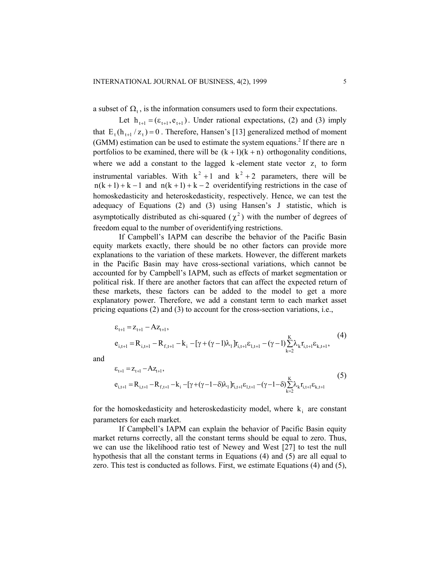a subset of  $\Omega_t$ , is the information consumers used to form their expectations.

Let  $h_{t+1} = (\varepsilon_{t+1}, e_{t+1})$ . Under rational expectations, (2) and (3) imply that  $E_t(h_{t+1}/z_t) = 0$ . Therefore, Hansen's [13] generalized method of moment  $n(k + 1) + k - 1$  and  $n(k + 1) + k - 2$  overidentifying restrictions in the case of (GMM) estimation can be used to estimate the system equations. 2 If there are n portfolios to be examined, there will be  $(k + 1)(k + n)$  orthogonality conditions, where we add a constant to the lagged  $k$ -element state vector  $z_t$  to form instrumental variables. With  $k^2 + 1$  and  $k^2 + 2$  parameters, there will be homoskedasticity and heteroskedasticity, respectively. Hence, we can test the adequacy of Equations (2) and (3) using Hansen's J statistic, which is asymptotically distributed as chi-squared  $(\chi^2)$  with the number of degrees of freedom equal to the number of overidentifying restrictions.

If Campbell's IAPM can describe the behavior of the Pacific Basin equity markets exactly, there should be no other factors can provide more explanations to the variation of these markets. However, the different markets in the Pacific Basin may have cross-sectional variations, which cannot be accounted for by Campbell's IAPM, such as effects of market segmentation or political risk. If there are another factors that can affect the expected return of these markets, these factors can be added to the model to get a more explanatory power. Therefore, we add a constant term to each market asset pricing equations (2) and (3) to account for the cross-section variations, i.e.,

$$
\varepsilon_{t+1} = z_{t+1} - Az_{t+1},
$$
\n
$$
e_{i,t+1} = R_{i,t+1} - R_{f,t+1} - k_i - [\gamma + (\gamma - 1)\lambda_1]r_{i,t+1}\varepsilon_{i,t+1} - (\gamma - 1)\sum_{k=2}^{K} \lambda_k r_{i,t+1}\varepsilon_{k,t+1},
$$
\n(4)

and

$$
\varepsilon_{t+1} = z_{t+1} - Az_{t+1},
$$
\n
$$
e_{i,t+1} = R_{i,t+1} - R_{f,t+1} - k_i - [\gamma + (\gamma - 1 - \delta)\lambda_1]r_{i,t+1}\varepsilon_{1,t+1} - (\gamma - 1 - \delta)\sum_{k=2}^{K} \lambda_k r_{i,t+1}\varepsilon_{k,t+1}
$$
\n(5)

for the homoskedasticity and heteroskedasticity model, where  $k_i$  are constant parameters for each market.

If Campbell's IAPM can explain the behavior of Pacific Basin equity market returns correctly, all the constant terms should be equal to zero. Thus, we can use the likelihood ratio test of Newey and West [27] to test the null hypothesis that all the constant terms in Equations (4) and (5) are all equal to zero. This test is conducted as follows. First, we estimate Equations (4) and (5),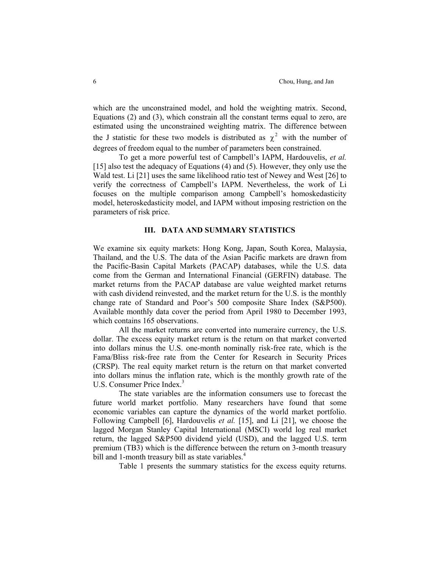which are the unconstrained model, and hold the weighting matrix. Second, Equations (2) and (3), which constrain all the constant terms equal to zero, are estimated using the unconstrained weighting matrix. The difference between the J statistic for these two models is distributed as  $\chi^2$  with the number of degrees of freedom equal to the number of parameters been constrained.

To get a more powerful test of Campbell's IAPM, Hardouvelis, *et al.*  [15] also test the adequacy of Equations (4) and (5). However, they only use the Wald test. Li [21] uses the same likelihood ratio test of Newey and West [26] to verify the correctness of Campbell's IAPM. Nevertheless, the work of Li focuses on the multiple comparison among Campbell's homoskedasticity model, heteroskedasticity model, and IAPM without imposing restriction on the parameters of risk price.

## **III. DATA AND SUMMARY STATISTICS**

We examine six equity markets: Hong Kong, Japan, South Korea, Malaysia, Thailand, and the U.S. The data of the Asian Pacific markets are drawn from the Pacific-Basin Capital Markets (PACAP) databases, while the U.S. data come from the German and International Financial (GERFIN) database. The market returns from the PACAP database are value weighted market returns with cash dividend reinvested, and the market return for the U.S. is the monthly change rate of Standard and Poor's 500 composite Share Index (S&P500). Available monthly data cover the period from April 1980 to December 1993, which contains 165 observations.

All the market returns are converted into numeraire currency, the U.S. dollar. The excess equity market return is the return on that market converted into dollars minus the U.S. one-month nominally risk-free rate, which is the Fama/Bliss risk-free rate from the Center for Research in Security Prices (CRSP). The real equity market return is the return on that market converted into dollars minus the inflation rate, which is the monthly growth rate of the U.S. Consumer Price Index.<sup>3</sup>

The state variables are the information consumers use to forecast the future world market portfolio. Many researchers have found that some economic variables can capture the dynamics of the world market portfolio. Following Campbell [6], Hardouvelis *et al.* [15], and Li [21], we choose the lagged Morgan Stanley Capital International (MSCI) world log real market return, the lagged S&P500 dividend yield (USD), and the lagged U.S. term premium (TB3) which is the difference between the return on 3-month treasury bill and 1-month treasury bill as state variables.<sup>4</sup>

Table 1 presents the summary statistics for the excess equity returns.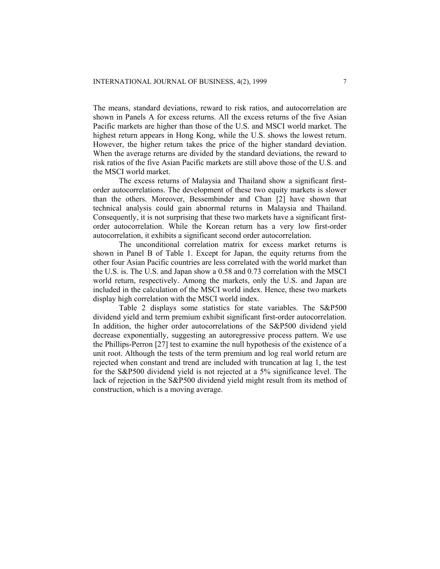The means, standard deviations, reward to risk ratios, and autocorrelation are shown in Panels A for excess returns. All the excess returns of the five Asian Pacific markets are higher than those of the U.S. and MSCI world market. The highest return appears in Hong Kong, while the U.S. shows the lowest return. However, the higher return takes the price of the higher standard deviation. When the average returns are divided by the standard deviations, the reward to risk ratios of the five Asian Pacific markets are still above those of the U.S. and the MSCI world market.

The excess returns of Malaysia and Thailand show a significant firstorder autocorrelations. The development of these two equity markets is slower than the others. Moreover, Bessembinder and Chan [2] have shown that technical analysis could gain abnormal returns in Malaysia and Thailand. Consequently, it is not surprising that these two markets have a significant firstorder autocorrelation. While the Korean return has a very low first-order autocorrelation, it exhibits a significant second order autocorrelation.

The unconditional correlation matrix for excess market returns is shown in Panel B of Table 1. Except for Japan, the equity returns from the other four Asian Pacific countries are less correlated with the world market than the U.S. is. The U.S. and Japan show a 0.58 and 0.73 correlation with the MSCI world return, respectively. Among the markets, only the U.S. and Japan are included in the calculation of the MSCI world index. Hence, these two markets display high correlation with the MSCI world index.

Table 2 displays some statistics for state variables. The S&P500 dividend yield and term premium exhibit significant first-order autocorrelation. In addition, the higher order autocorrelations of the S&P500 dividend yield decrease exponentially, suggesting an autoregressive process pattern. We use the Phillips-Perron [27] test to examine the null hypothesis of the existence of a unit root. Although the tests of the term premium and log real world return are rejected when constant and trend are included with truncation at lag 1, the test for the S&P500 dividend yield is not rejected at a 5% significance level. The lack of rejection in the S&P500 dividend yield might result from its method of construction, which is a moving average.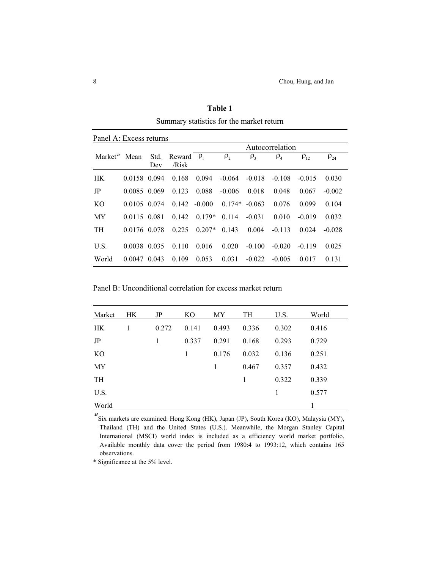|                     | Panel A: Excess returns |             |                          |          |                 |                     |                 |             |             |  |
|---------------------|-------------------------|-------------|--------------------------|----------|-----------------|---------------------|-----------------|-------------|-------------|--|
|                     |                         |             |                          |          |                 |                     | Autocorrelation |             |             |  |
| Market <sup>a</sup> | Mean                    | Std.<br>Dev | Reward $\rho_1$<br>/Risk |          | $\rho$ ,        | $\rho$ <sub>3</sub> | $\rho_4$        | $\rho_{12}$ | $\rho_{24}$ |  |
| HK.                 | 0.0158 0.094            |             | 0.168                    | 0.094    | $-0.064$        | $-0.018$            | $-0.108$        | $-0.015$    | 0.030       |  |
| JP                  | 0.0085 0.069            |             | 0.123                    | 0.088    | $-0.006$        | 0.018               | 0.048           | 0.067       | $-0.002$    |  |
| KO                  | 0.0105 0.074            |             | $0.142 - 0.000$          |          | $0.174* -0.063$ |                     | 0.076           | 0 0 9 9     | 0.104       |  |
| MY                  | 0.0115 0.081            |             | 0.142                    | $0.179*$ | 0.114           | $-0.031$            | 0.010           | $-0.019$    | 0.032       |  |
| <b>TH</b>           | 0.0176 0.078            |             | 0.225                    | $0.207*$ | 0.143           | 0.004               | $-0.113$        | 0.024       | $-0.028$    |  |
| U.S.                | 0.0038                  | 0.035       | 0110                     | 0.016    | 0.020           | $-0.100$            | $-0.020$        | $-0.119$    | 0.025       |  |
| World               | $0.0047$ 0.043          |             | 0.109                    | 0.053    | 0.031           | $-0.022$            | $-0.005$        | 0.017       | 0.131       |  |

**Table 1**  Summary statistics for the market return

Panel B: Unconditional correlation for excess market return

| Market    | HK. | JP    | KO    | MY    | TH    | U.S.  | World |
|-----------|-----|-------|-------|-------|-------|-------|-------|
| HK        | 1   | 0.272 | 0.141 | 0.493 | 0.336 | 0.302 | 0.416 |
| JP        |     | 1     | 0.337 | 0.291 | 0.168 | 0.293 | 0.729 |
| <b>KO</b> |     |       | 1     | 0.176 | 0.032 | 0.136 | 0.251 |
| MY        |     |       |       | 1     | 0.467 | 0.357 | 0.432 |
| TH        |     |       |       |       | 1     | 0.322 | 0.339 |
| U.S.      |     |       |       |       |       | 1     | 0.577 |
| World     |     |       |       |       |       |       | 1     |

 $a$ Six markets are examined: Hong Kong (HK), Japan (JP), South Korea (KO), Malaysia (MY), Thailand (TH) and the United States (U.S.). Meanwhile, the Morgan Stanley Capital International (MSCI) world index is included as a efficiency world market portfolio. Available monthly data cover the period from 1980:4 to 1993:12, which contains 165 observations.

\* Significance at the 5% level.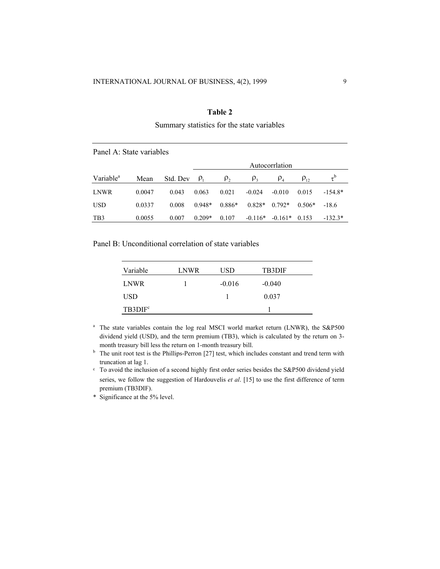## **Table 2**

Summary statistics for the state variables

|                       | Panel A: State variables |          |            |                 |           |                                |             |                |  |  |
|-----------------------|--------------------------|----------|------------|-----------------|-----------|--------------------------------|-------------|----------------|--|--|
|                       |                          |          |            | Autocorrilation |           |                                |             |                |  |  |
| Variable <sup>a</sup> | Mean                     | Std. Dev | $\rho_{1}$ | $\rho$ ,        | $P_3$     | $\rho_{\scriptscriptstyle{A}}$ | $\rho_{12}$ | $\tau^{\rm b}$ |  |  |
| LNWR.                 | 0.0047                   | 0.043    | 0.063      | 0.021           | $-0.024$  | $-0.010$                       | 0.015       | $-154.8*$      |  |  |
| <b>USD</b>            | 0.0337                   | 0.008    | $0.948*$   | $0.886*$        | $0.828*$  | $0.792*$                       | $0.506*$    | $-18.6$        |  |  |
| TB3                   | 0.0055                   | 0.007    | $0.209*$   | 0.107           | $-0.116*$ | $-0.161*$                      | 0.153       | $-132.3*$      |  |  |

Panel B: Unconditional correlation of state variables

| Variable          | LNWR | USD      | <b>TB3DIF</b> |
|-------------------|------|----------|---------------|
| <b>LNWR</b>       |      | $-0.016$ | $-0.040$      |
| USD               |      |          | 0.037         |
| $T\text{B3DIF}^c$ |      |          |               |

<sup>a</sup> The state variables contain the log real MSCI world market return (LNWR), the S&P500 dividend yield (USD), and the term premium (TB3), which is calculated by the return on 3-

month treasury bill less the return on 1-month treasury bill.<br><sup>b</sup> The unit root test is the Phillips-Perron [27] test, which includes constant and trend term with truncation at lag 1.<br>  $\cdot$  To avoid the inclusion of a second highly first order series besides the S&P500 dividend yield

series, we follow the suggestion of Hardouvelis *et al*. [15] to use the first difference of term premium (TB3DIF).

\* Significance at the 5% level.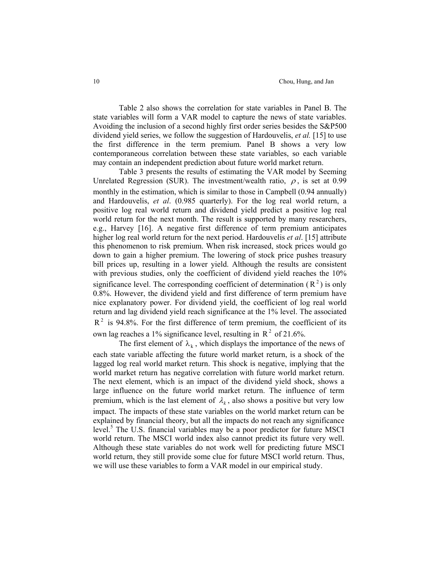Table 2 also shows the correlation for state variables in Panel B. The state variables will form a VAR model to capture the news of state variables. Avoiding the inclusion of a second highly first order series besides the S&P500 dividend yield series, we follow the suggestion of Hardouvelis, *et al.* [15] to use the first difference in the term premium. Panel B shows a very low contemporaneous correlation between these state variables, so each variable may contain an independent prediction about future world market return.

Table 3 presents the results of estimating the VAR model by Seeming Unrelated Regression (SUR). The investment/wealth ratio,  $\rho$ , is set at 0.99 monthly in the estimation, which is similar to those in Campbell (0.94 annually) and Hardouvelis, *et al*. (0.985 quarterly). For the log real world return, a positive log real world return and dividend yield predict a positive log real world return for the next month. The result is supported by many researchers, e.g., Harvey [16]. A negative first difference of term premium anticipates higher log real world return for the next period. Hardouvelis *et al*. [15] attribute this phenomenon to risk premium. When risk increased, stock prices would go down to gain a higher premium. The lowering of stock price pushes treasury bill prices up, resulting in a lower yield. Although the results are consistent with previous studies, only the coefficient of dividend yield reaches the 10% significance level. The corresponding coefficient of determination ( $R^2$ ) is only 0.8%. However, the dividend yield and first difference of term premium have nice explanatory power. For dividend yield, the coefficient of log real world return and lag dividend yield reach significance at the 1% level. The associated  $R<sup>2</sup>$  is 94.8%. For the first difference of term premium, the coefficient of its own lag reaches a 1% significance level, resulting in  $R^2$  of 21.6%.

The first element of  $\lambda_k$ , which displays the importance of the news of each state variable affecting the future world market return, is a shock of the lagged log real world market return. This shock is negative, implying that the world market return has negative correlation with future world market return. The next element, which is an impact of the dividend yield shock, shows a large influence on the future world market return. The influence of term premium, which is the last element of  $\lambda_k$ , also shows a positive but very low impact. The impacts of these state variables on the world market return can be explained by financial theory, but all the impacts do not reach any significance level.<sup>5</sup> The U.S. financial variables may be a poor predictor for future MSCI world return. The MSCI world index also cannot predict its future very well. Although these state variables do not work well for predicting future MSCI world return, they still provide some clue for future MSCI world return. Thus, we will use these variables to form a VAR model in our empirical study.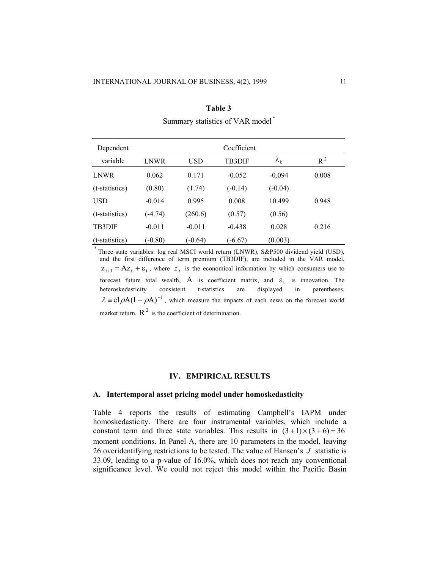| Dependent      |           |            | Coefficient   |                   |       |  |
|----------------|-----------|------------|---------------|-------------------|-------|--|
| variable       | LNWR      | <b>USD</b> | <b>TB3DIF</b> | $\lambda_{\rm k}$ | $R^2$ |  |
| <b>LNWR</b>    | 0.062     | 0.171      | $-0.052$      | $-0.094$          | 0.008 |  |
| (t-statistics) | (0.80)    | (1.74)     | $(-0.14)$     | $(-0.04)$         |       |  |
| <b>USD</b>     | $-0.014$  | 0.995      | 0.008         | 10.499            | 0.948 |  |
| (t-statistics) | $(-4.74)$ | (260.6)    | (0.57)        | (0.56)            |       |  |
| <b>TB3DIF</b>  | $-0.011$  | $-0.011$   | $-0.438$      | 0.028             | 0.216 |  |
| (t-statistics) | $(-0.80)$ | $(-0.64)$  | $(-6.67)$     | (0.003)           |       |  |

**Table 3**  Summary statistics of VAR model \*

\* Three state variables: log real MSCI world return (LNWR), S&P500 dividend yield (USD), and the first difference of term premium (TB3DIF), are included in the VAR model,  $Z_{t+1} = AZ_t + \varepsilon_t$ , where  $Z_t$  is the economical information by which consumers use to forecast future total wealth, A is coefficient matrix, and  $\varepsilon_t$  is innovation. The heteroskedasticity consistent t-statistics are displayed in parentheses.  $\lambda = e \left[ \rho A (I - \rho A) \right]$ , which measure the impacts of each news on the forecast world market return.  $R^2$  is the coefficient of determination.

## **IV. EMPIRICAL RESULTS**

#### **A. Intertemporal asset pricing model under homoskedasticity**

Table 4 reports the results of estimating Campbell's IAPM under homoskedasticity. There are four instrumental variables, which include a constant term and three state variables. This results in  $(3+1) \times (3+6) = 36$ moment conditions. In Panel A, there are 10 parameters in the model, leaving 26 overidentifying restrictions to be tested. The value of Hansen's  $J$  statistic is 33.09, leading to a p-value of 16.0%, which does not reach any conventional significance level. We could not reject this model within the Pacific Basin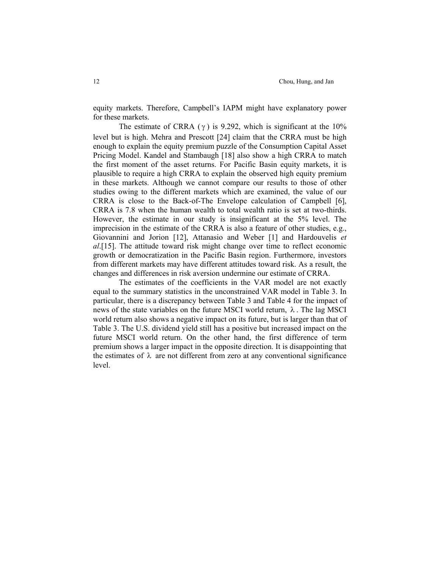equity markets. Therefore, Campbell's IAPM might have explanatory power for these markets.

The estimate of CRRA  $(\gamma)$  is 9.292, which is significant at the 10% level but is high. Mehra and Prescott [24] claim that the CRRA must be high enough to explain the equity premium puzzle of the Consumption Capital Asset Pricing Model. Kandel and Stambaugh [18] also show a high CRRA to match the first moment of the asset returns. For Pacific Basin equity markets, it is plausible to require a high CRRA to explain the observed high equity premium in these markets. Although we cannot compare our results to those of other studies owing to the different markets which are examined, the value of our CRRA is close to the Back-of-The Envelope calculation of Campbell [6], CRRA is 7.8 when the human wealth to total wealth ratio is set at two-thirds. However, the estimate in our study is insignificant at the 5% level. The imprecision in the estimate of the CRRA is also a feature of other studies, e.g., Giovannini and Jorion [12], Attanasio and Weber [1] and Hardouvelis *et al*.[15]. The attitude toward risk might change over time to reflect economic growth or democratization in the Pacific Basin region. Furthermore, investors from different markets may have different attitudes toward risk. As a result, the changes and differences in risk aversion undermine our estimate of CRRA.

The estimates of the coefficients in the VAR model are not exactly equal to the summary statistics in the unconstrained VAR model in Table 3. In particular, there is a discrepancy between Table 3 and Table 4 for the impact of news of the state variables on the future MSCI world return,  $\lambda$ . The lag MSCI world return also shows a negative impact on its future, but is larger than that of Table 3. The U.S. dividend yield still has a positive but increased impact on the future MSCI world return. On the other hand, the first difference of term premium shows a larger impact in the opposite direction. It is disappointing that the estimates of  $\lambda$  are not different from zero at any conventional significance level.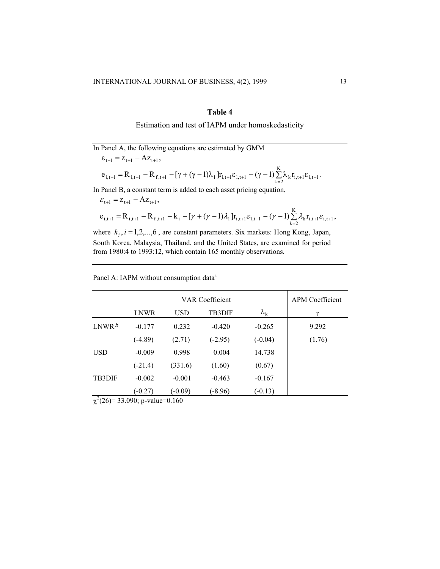## **Table 4**

Estimation and test of IAPM under homoskedasticity

In Panel A, the following equations are estimated by GMM  $\varepsilon_{t+1} = z_{t+1} - Az_{t+1},$ 

$$
e_{i,t+1} = R_{i,t+1} - R_{f,t+1} - [\gamma + (\gamma - 1)\lambda_1]r_{i,t+1}\epsilon_{1,t+1} - (\gamma - 1)\sum_{k=2}^{K} \lambda_k r_{i,t+1}\epsilon_{i,t+1}.
$$

In Panel B, a constant term is added to each asset pricing equation,

$$
\varepsilon_{t+1} = z_{t+1} - Az_{t+1},
$$
  
\n
$$
e_{i,t+1} = R_{i,t+1} - R_{f,t+1} - k_i - [\gamma + (\gamma - 1)\lambda_1]r_{i,t+1}\varepsilon_{1,t+1} - (\gamma - 1)\sum_{k=2}^{K} \lambda_k r_{i,t+1}\varepsilon_{i,t+1},
$$

where  $k_i$ ,  $i = 1, 2, \ldots, 6$ , are constant parameters. Six markets: Hong Kong, Japan, South Korea, Malaysia, Thailand, and the United States, are examined for period from 1980:4 to 1993:12, which contain 165 monthly observations.

| Panel A: IAPM without consumption data <sup>a</sup> |  |  |
|-----------------------------------------------------|--|--|
|                                                     |  |  |

|                       |             | <b>APM</b> Coefficient |               |                   |        |
|-----------------------|-------------|------------------------|---------------|-------------------|--------|
|                       | <b>LNWR</b> | <b>USD</b>             | <b>TB3DIF</b> | $\lambda_{\rm k}$ | γ      |
| LNWR <sup>b</sup>     | $-0.177$    | 0.232                  | $-0.420$      | $-0.265$          | 9.292  |
|                       | $(-4.89)$   | (2.71)                 | $(-2.95)$     | $(-0.04)$         | (1.76) |
| <b>USD</b>            | $-0.009$    | 0.998                  | 0.004         | 14.738            |        |
|                       | $(-21.4)$   | (331.6)                | (1.60)        | (0.67)            |        |
| <b>TB3DIF</b>         | $-0.002$    | $-0.001$               | $-0.463$      | $-0.167$          |        |
| $2.12 \times 10^{-1}$ | $(-0.27)$   | $(-0.09)$              | (-8.96)       | $(-0.13)$         |        |

 $\chi^2(26)$ = 33.090; p-value=0.160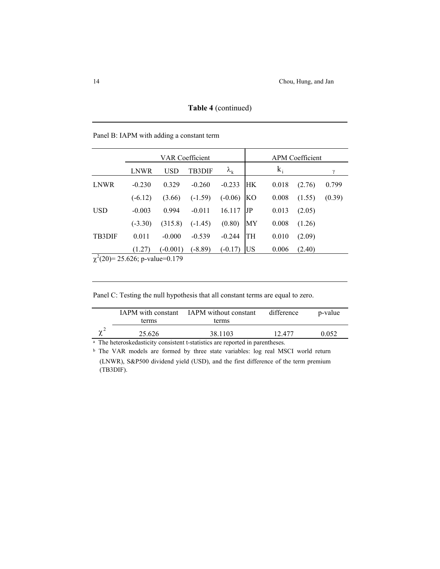|               | VAR Coefficient |            |           |                   | <b>APM</b> Coefficient |       |        |        |
|---------------|-----------------|------------|-----------|-------------------|------------------------|-------|--------|--------|
|               | LNWR            | <b>USD</b> | TB3DIF    | $\lambda_{\rm k}$ |                        | $k_i$ |        | γ      |
| LNWR          | $-0.230$        | 0.329      | $-0.260$  | $-0.233$          | HК                     | 0.018 | (2.76) | 0.799  |
|               | $(-6.12)$       | (3.66)     | $(-1.59)$ | $(-0.06)$         | KО                     | 0.008 | (1.55) | (0.39) |
| <b>USD</b>    | $-0.003$        | 0.994      | $-0.011$  | 16.117            | JP                     | 0.013 | (2.05) |        |
|               | $(-3.30)$       | (315.8)    | $(-1.45)$ | (0.80)            | МY                     | 0.008 | (1.26) |        |
| <b>TB3DIF</b> | 0.011           | $-0.000$   | $-0.539$  | $-0.244$          | TH                     | 0.010 | (2.09) |        |
|               | (1.27)          | $(-0.001)$ | $(-8.89)$ | $(-0.17)$         | US                     | 0.006 | (2.40) |        |

**Table 4** (continued)

Panel B: IAPM with adding a constant term

 $\chi^2(20)$ = 25.626; p-value=0.179

| Panel C: Testing the null hypothesis that all constant terms are equal to zero. |  |  |  |
|---------------------------------------------------------------------------------|--|--|--|
|                                                                                 |  |  |  |

| <b>IAPM</b> with constant<br>terms | <b>IAPM</b> without constant<br>terms | difference | p-value |
|------------------------------------|---------------------------------------|------------|---------|
| 25.626                             | 38.1103                               | 12.477     | 0.052   |

a The heteroskedasticity consistent t-statistics are reported in parentheses.

<sup>b</sup> The VAR models are formed by three state variables: log real MSCI world return (LNWR), S&P500 dividend yield (USD), and the first difference of the term premium (TB3DIF).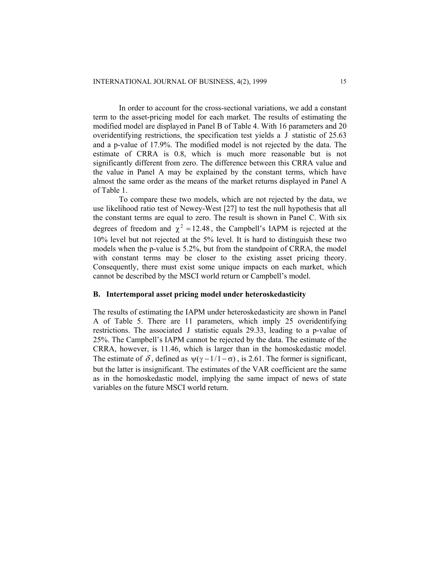In order to account for the cross-sectional variations, we add a constant term to the asset-pricing model for each market. The results of estimating the modified model are displayed in Panel B of Table 4. With 16 parameters and 20 overidentifying restrictions, the specification test yields a  $J$  statistic of  $25.63$ and a p-value of 17.9%. The modified model is not rejected by the data. The estimate of CRRA is 0.8, which is much more reasonable but is not significantly different from zero. The difference between this CRRA value and the value in Panel A may be explained by the constant terms, which have almost the same order as the means of the market returns displayed in Panel A of Table 1.

To compare these two models, which are not rejected by the data, we use likelihood ratio test of Newey-West [27] to test the null hypothesis that all the constant terms are equal to zero. The result is shown in Panel C. With six degrees of freedom and  $\chi^2 = 12.48$ , the Campbell's IAPM is rejected at the 10% level but not rejected at the 5% level. It is hard to distinguish these two models when the p-value is 5.2%, but from the standpoint of CRRA, the model with constant terms may be closer to the existing asset pricing theory. Consequently, there must exist some unique impacts on each market, which cannot be described by the MSCI world return or Campbell's model.

## **B. Intertemporal asset pricing model under heteroskedasticity**

The results of estimating the IAPM under heteroskedasticity are shown in Panel A of Table 5. There are 11 parameters, which imply 25 overidentifying restrictions. The associated J statistic equals  $29.33$ , leading to a p-value of 25%. The Campbell's IAPM cannot be rejected by the data. The estimate of the CRRA, however, is 11.46, which is larger than in the homoskedastic model. The estimate of  $\delta$ , defined as  $\psi(\gamma - 1/1 - \sigma)$ , is 2.61. The former is significant, but the latter is insignificant. The estimates of the VAR coefficient are the same as in the homoskedastic model, implying the same impact of news of state variables on the future MSCI world return.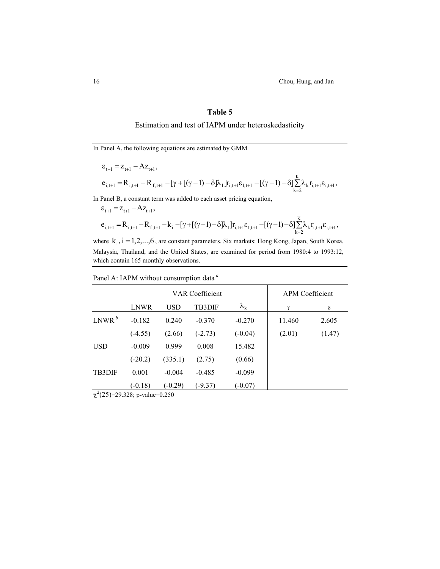16 Chou, Hung, and Jan

# **Table 5**

# Estimation and test of IAPM under heteroskedasticity

In Panel A, the following equations are estimated by GMM

$$
\begin{aligned} & \epsilon_{t+1} = z_{t+1} - Az_{t+1}, \\ & e_{i,t+1} = R_{i,t+1} - R_{f,t+1} - [\gamma + [(\gamma - 1) - \delta] \lambda_1] r_{i,t+1} \epsilon_{i,t+1} - [(\gamma - 1) - \delta] \underset{k=2}{\overset{K}{\sum}} \lambda_k r_{i,t+1} \epsilon_{i,t+1}, \end{aligned}
$$

In Panel B, a constant term was added to each asset pricing equation,

$$
\begin{aligned} & \epsilon_{t+1} = z_{t+1} - Az_{t+1}, \\ & e_{i,t+1} = R_{i,t+1} - R_{f,t+1} - k_i - [\gamma + [(\gamma - 1) - \delta] \lambda_1] r_{i,t+1} \epsilon_{1,t+1} - [(\gamma - 1) - \delta] \overset{K}{\underset{k=2}{\sum}} \lambda_k r_{i,t+1} \epsilon_{i,t+1}, \end{aligned}
$$

where  $k_i$ ,  $i = 1, 2, \ldots, 6$ , are constant parameters. Six markets: Hong Kong, Japan, South Korea, Malaysia, Thailand, and the United States, are examined for period from 1980:4 to 1993:12, which contain 165 monthly observations.

| Panel A: IAPM without consumption data <sup>a</sup> |  |  |  |  |
|-----------------------------------------------------|--|--|--|--|
|-----------------------------------------------------|--|--|--|--|

|               | VAR Coefficient |            |           | <b>APM</b> Coefficient |          |        |
|---------------|-----------------|------------|-----------|------------------------|----------|--------|
|               | <b>LNWR</b>     | <b>USD</b> | TB3DIF    | $\lambda_{\rm k}$      | $\gamma$ | δ      |
| $LNWR^b$      | $-0.182$        | 0.240      | $-0.370$  | $-0.270$               | 11.460   | 2.605  |
|               | $(-4.55)$       | (2.66)     | $(-2.73)$ | $(-0.04)$              | (2.01)   | (1.47) |
| <b>USD</b>    | $-0.009$        | 0.999      | 0.008     | 15.482                 |          |        |
|               | $(-20.2)$       | (335.1)    | (2.75)    | (0.66)                 |          |        |
| <b>TB3DIF</b> | 0.001           | $-0.004$   | $-0.485$  | $-0.099$               |          |        |
| $2(25)$ 2022  | $(-0.18)$       | $(-0.29)$  | $-9.37$   | $(-0.07)$              |          |        |

 $\chi^2(25)=29.328$ ; p-value=0.250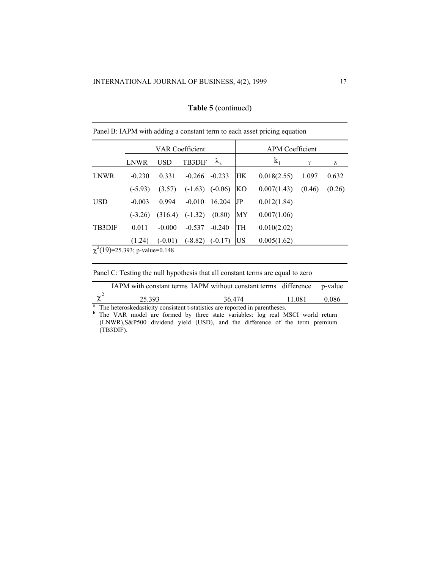|               | VAR Coefficient                     |            |               |                   | <b>APM</b> Coefficient |             |        |        |
|---------------|-------------------------------------|------------|---------------|-------------------|------------------------|-------------|--------|--------|
|               | LNWR                                | <b>USD</b> | <b>TB3DIF</b> | $\lambda_{\rm k}$ |                        | $k_i$       | γ      | δ      |
| LNWR          | $-0.230$                            | 0.331      | $-0.266$      | $-0.233$          | HК                     | 0.018(2.55) | 1.097  | 0.632  |
|               | $(-5.93)$                           | (3.57)     | $(-1.63)$     | $(-0.06)$         | <b>KO</b>              | 0.007(1.43) | (0.46) | (0.26) |
| <b>USD</b>    | $-0.003$                            | 0.994      | $-0.010$      | 16.204            | JP                     | 0.012(1.84) |        |        |
|               | $(-3.26)$                           | (316.4)    | $(-1.32)$     | (0.80)            | МY                     | 0.007(1.06) |        |        |
| <b>TB3DIF</b> | 0.011                               | $-0.000$   | $-0.537$      | $-0.240$          | TH                     | 0.010(2.02) |        |        |
|               | (1.24)                              | $(-0.01)$  | $(-8.82)$     | $(-0.17)$         | US                     | 0.005(1.62) |        |        |
|               | $\chi^2(19)=25.393$ ; p-value=0.148 |            |               |                   |                        |             |        |        |

## **Table 5** (continued)

Panel B: IAPM with adding a constant term to each asset pricing equation

Panel C: Testing the null hypothesis that all constant terms are equal to zero

|        | IAPM with constant terms IAPM without constant terms difference p-value |        |       |
|--------|-------------------------------------------------------------------------|--------|-------|
| 25 393 | 36 474                                                                  | 11 081 | 0.086 |

<sup>a</sup> The heteroskedasticity consistent t-statistics are reported in parentheses.<br><sup>b</sup> The VAR model are formed by three state variables: log real MSCI world return (LNWR),S&P500 dividend yield (USD), and the difference of the term premium (TB3DIF).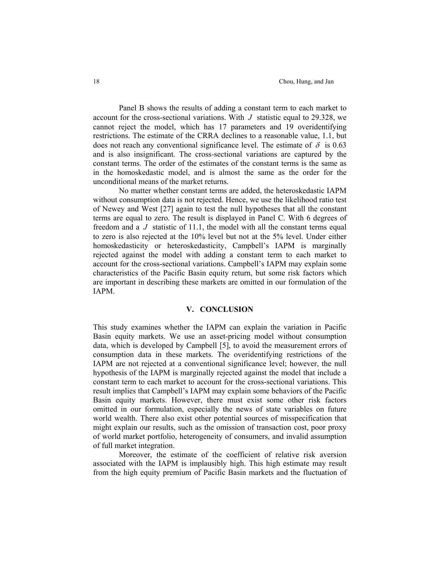Panel B shows the results of adding a constant term to each market to account for the cross-sectional variations. With  $J$  statistic equal to 29.328, we cannot reject the model, which has 17 parameters and 19 overidentifying restrictions. The estimate of the CRRA declines to a reasonable value, 1.1, but does not reach any conventional significance level. The estimate of  $\delta$  is 0.63 and is also insignificant. The cross-sectional variations are captured by the constant terms. The order of the estimates of the constant terms is the same as in the homoskedastic model, and is almost the same as the order for the unconditional means of the market returns.

No matter whether constant terms are added, the heteroskedastic IAPM without consumption data is not rejected. Hence, we use the likelihood ratio test of Newey and West [27] again to test the null hypotheses that all the constant terms are equal to zero. The result is displayed in Panel C. With 6 degrees of freedom and a  $J$  statistic of 11.1, the model with all the constant terms equal to zero is also rejected at the 10% level but not at the 5% level. Under either homoskedasticity or heteroskedasticity, Campbell's IAPM is marginally rejected against the model with adding a constant term to each market to account for the cross-sectional variations. Campbell's IAPM may explain some characteristics of the Pacific Basin equity return, but some risk factors which are important in describing these markets are omitted in our formulation of the IAPM.

#### **V. CONCLUSION**

This study examines whether the IAPM can explain the variation in Pacific Basin equity markets. We use an asset-pricing model without consumption data, which is developed by Campbell [5], to avoid the measurement errors of consumption data in these markets. The overidentifying restrictions of the IAPM are not rejected at a conventional significance level; however, the null hypothesis of the IAPM is marginally rejected against the model that include a constant term to each market to account for the cross-sectional variations. This result implies that Campbell's IAPM may explain some behaviors of the Pacific Basin equity markets. However, there must exist some other risk factors omitted in our formulation, especially the news of state variables on future world wealth. There also exist other potential sources of misspecification that might explain our results, such as the omission of transaction cost, poor proxy of world market portfolio, heterogeneity of consumers, and invalid assumption of full market integration.

Moreover, the estimate of the coefficient of relative risk aversion associated with the IAPM is implausibly high. This high estimate may result from the high equity premium of Pacific Basin markets and the fluctuation of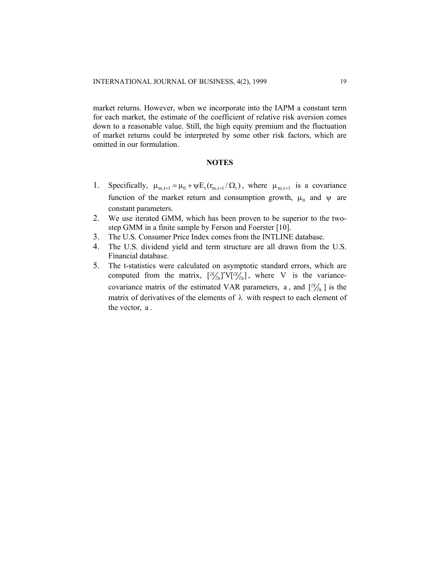market returns. However, when we incorporate into the IAPM a constant term for each market, the estimate of the coefficient of relative risk aversion comes down to a reasonable value. Still, the high equity premium and the fluctuation of market returns could be interpreted by some other risk factors, which are omitted in our formulation.

#### **NOTES**

- 1. Specifically,  $\mu_{m,t+1} = \mu_0 + \psi E_t(r_{m,t+1} / \Omega_t)$ , where  $\mu_{m,t+1}$  is a covariance function of the market return and consumption growth,  $\mu_0$  and  $\psi$  are constant parameters.
- 2. We use iterated GMM, which has been proven to be superior to the twostep GMM in a finite sample by Ferson and Foerster [10].
- 3. The U.S. Consumer Price Index comes from the INTLINE database.
- 4. The U.S. dividend yield and term structure are all drawn from the U.S. Financial database.
- 5. The t-statistics were calculated on asymptotic standard errors, which are computed from the matrix,  $\left[\partial_{\alpha}^{f}\right]'\mathbf{V}[\partial_{\alpha}^{f}]$ , where V is the variancecovariance matrix of the estimated VAR parameters, a, and  $\left[\partial f_{\partial a}\right]$  is the matrix of derivatives of the elements of  $\lambda$  with respect to each element of the vector, a .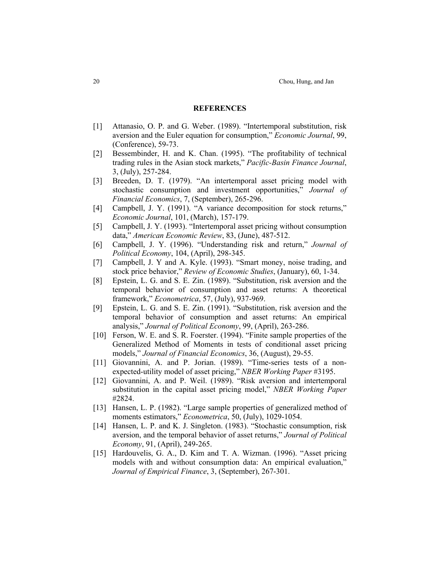#### **REFERENCES**

- [1] Attanasio, O. P. and G. Weber. (1989). "Intertemporal substitution, risk aversion and the Euler equation for consumption," *Economic Journal*, 99, (Conference), 59-73.
- [2] Bessembinder, H. and K. Chan. (1995). "The profitability of technical trading rules in the Asian stock markets," *Pacific-Basin Finance Journal*, 3, (July), 257-284.
- [3] Breeden, D. T. (1979). "An intertemporal asset pricing model with stochastic consumption and investment opportunities," *Journal of Financial Economics*, 7, (September), 265-296.
- [4] Campbell, J. Y. (1991). "A variance decomposition for stock returns," *Economic Journal*, 101, (March), 157-179.
- [5] Campbell, J. Y. (1993). "Intertemporal asset pricing without consumption data," *American Economic Review*, 83, (June), 487-512.
- [6] Campbell, J. Y. (1996). "Understanding risk and return," *Journal of Political Economy*, 104, (April), 298-345.
- [7] Campbell, J. Y and A. Kyle. (1993). "Smart money, noise trading, and stock price behavior," *Review of Economic Studies*, (January), 60, 1-34.
- [8] Epstein, L. G. and S. E. Zin. (1989). "Substitution, risk aversion and the temporal behavior of consumption and asset returns: A theoretical framework," *Econometrica*, 57, (July), 937-969.
- [9] Epstein, L. G. and S. E. Zin. (1991). "Substitution, risk aversion and the temporal behavior of consumption and asset returns: An empirical analysis," *Journal of Political Economy*, 99, (April), 263-286.
- [10] Ferson, W. E. and S. R. Foerster. (1994). "Finite sample properties of the Generalized Method of Moments in tests of conditional asset pricing models," *Journal of Financial Economics*, 36, (August), 29-55.
- [11] Giovannini, A. and P. Jorian. (1989). "Time-series tests of a nonexpected-utility model of asset pricing," *NBER Working Paper* #3195.
- [12] Giovannini, A. and P. Weil. (1989). "Risk aversion and intertemporal substitution in the capital asset pricing model," *NBER Working Paper* #2824.
- [13] Hansen, L. P. (1982). "Large sample properties of generalized method of moments estimators," *Econometrica*, 50, (July), 1029-1054.
- [14] Hansen, L. P. and K. J. Singleton. (1983). "Stochastic consumption, risk aversion, and the temporal behavior of asset returns," *Journal of Political Economy*, 91, (April), 249-265.
- [15] Hardouvelis, G. A., D. Kim and T. A. Wizman. (1996). "Asset pricing models with and without consumption data: An empirical evaluation," *Journal of Empirical Finance*, 3, (September), 267-301.